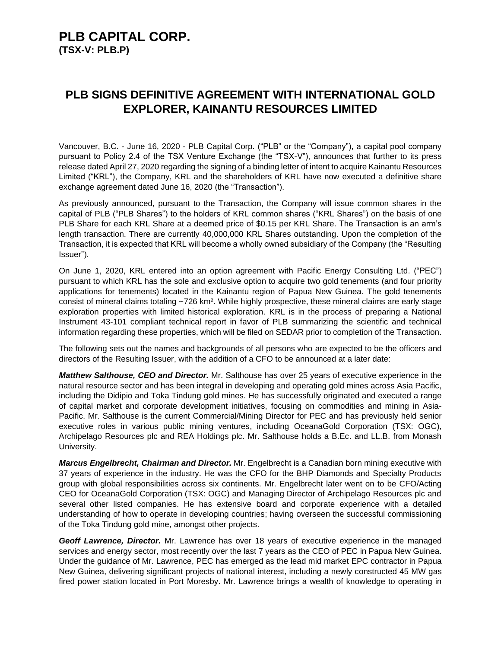### **PLB CAPITAL CORP. (TSX-V: PLB.P)**

### **PLB SIGNS DEFINITIVE AGREEMENT WITH INTERNATIONAL GOLD EXPLORER, KAINANTU RESOURCES LIMITED**

Vancouver, B.C. - June 16, 2020 - PLB Capital Corp. ("PLB" or the "Company"), a capital pool company pursuant to Policy 2.4 of the TSX Venture Exchange (the "TSX-V"), announces that further to its press release dated April 27, 2020 regarding the signing of a binding letter of intent to acquire Kainantu Resources Limited ("KRL"), the Company, KRL and the shareholders of KRL have now executed a definitive share exchange agreement dated June 16, 2020 (the "Transaction").

As previously announced, pursuant to the Transaction, the Company will issue common shares in the capital of PLB ("PLB Shares") to the holders of KRL common shares ("KRL Shares") on the basis of one PLB Share for each KRL Share at a deemed price of \$0.15 per KRL Share. The Transaction is an arm's length transaction. There are currently 40,000,000 KRL Shares outstanding. Upon the completion of the Transaction, it is expected that KRL will become a wholly owned subsidiary of the Company (the "Resulting Issuer").

On June 1, 2020, KRL entered into an option agreement with Pacific Energy Consulting Ltd. ("PEC") pursuant to which KRL has the sole and exclusive option to acquire two gold tenements (and four priority applications for tenements) located in the Kainantu region of Papua New Guinea. The gold tenements consist of mineral claims totaling ~726 km². While highly prospective, these mineral claims are early stage exploration properties with limited historical exploration. KRL is in the process of preparing a National Instrument 43-101 compliant technical report in favor of PLB summarizing the scientific and technical information regarding these properties, which will be filed on SEDAR prior to completion of the Transaction.

The following sets out the names and backgrounds of all persons who are expected to be the officers and directors of the Resulting Issuer, with the addition of a CFO to be announced at a later date:

*Matthew Salthouse, CEO and Director.* Mr. Salthouse has over 25 years of executive experience in the natural resource sector and has been integral in developing and operating gold mines across Asia Pacific, including the Didipio and Toka Tindung gold mines. He has successfully originated and executed a range of capital market and corporate development initiatives, focusing on commodities and mining in Asia-Pacific. Mr. Salthouse is the current Commercial/Mining Director for PEC and has previously held senior executive roles in various public mining ventures, including OceanaGold Corporation (TSX: OGC), Archipelago Resources plc and REA Holdings plc. Mr. Salthouse holds a B.Ec. and LL.B. from Monash University.

*Marcus Engelbrecht, Chairman and Director.* Mr. Engelbrecht is a Canadian born mining executive with 37 years of experience in the industry. He was the CFO for the BHP Diamonds and Specialty Products group with global responsibilities across six continents. Mr. Engelbrecht later went on to be CFO/Acting CEO for OceanaGold Corporation (TSX: OGC) and Managing Director of Archipelago Resources plc and several other listed companies. He has extensive board and corporate experience with a detailed understanding of how to operate in developing countries; having overseen the successful commissioning of the Toka Tindung gold mine, amongst other projects.

*Geoff Lawrence, Director.* Mr. Lawrence has over 18 years of executive experience in the managed services and energy sector, most recently over the last 7 years as the CEO of PEC in Papua New Guinea. Under the guidance of Mr. Lawrence, PEC has emerged as the lead mid market EPC contractor in Papua New Guinea, delivering significant projects of national interest, including a newly constructed 45 MW gas fired power station located in Port Moresby. Mr. Lawrence brings a wealth of knowledge to operating in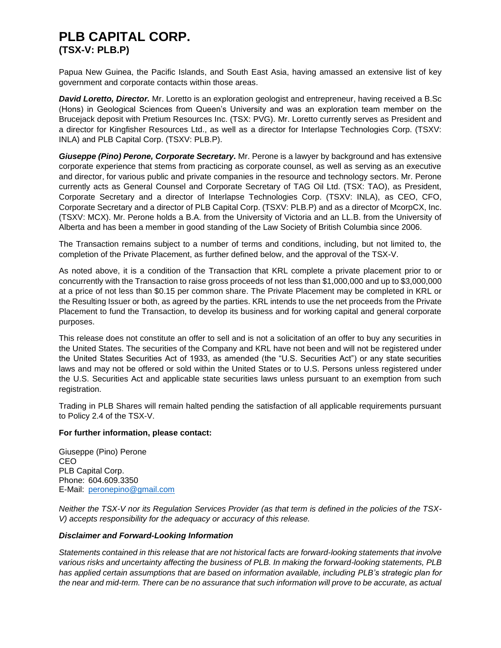## **PLB CAPITAL CORP. (TSX-V: PLB.P)**

Papua New Guinea, the Pacific Islands, and South East Asia, having amassed an extensive list of key government and corporate contacts within those areas.

*David Loretto, Director.* Mr. Loretto is an exploration geologist and entrepreneur, having received a B.Sc (Hons) in Geological Sciences from Queen's University and was an exploration team member on the Brucejack deposit with Pretium Resources Inc. (TSX: PVG). Mr. Loretto currently serves as President and a director for Kingfisher Resources Ltd., as well as a director for Interlapse Technologies Corp. (TSXV: INLA) and PLB Capital Corp. (TSXV: PLB.P).

*Giuseppe (Pino) Perone, Corporate Secretary.* Mr. Perone is a lawyer by background and has extensive corporate experience that stems from practicing as corporate counsel, as well as serving as an executive and director, for various public and private companies in the resource and technology sectors. Mr. Perone currently acts as General Counsel and Corporate Secretary of TAG Oil Ltd. (TSX: TAO), as President, Corporate Secretary and a director of Interlapse Technologies Corp. (TSXV: INLA), as CEO, CFO, Corporate Secretary and a director of PLB Capital Corp. (TSXV: PLB.P) and as a director of McorpCX, Inc. (TSXV: MCX). Mr. Perone holds a B.A. from the University of Victoria and an LL.B. from the University of Alberta and has been a member in good standing of the Law Society of British Columbia since 2006.

The Transaction remains subject to a number of terms and conditions, including, but not limited to, the completion of the Private Placement, as further defined below, and the approval of the TSX-V.

As noted above, it is a condition of the Transaction that KRL complete a private placement prior to or concurrently with the Transaction to raise gross proceeds of not less than \$1,000,000 and up to \$3,000,000 at a price of not less than \$0.15 per common share. The Private Placement may be completed in KRL or the Resulting Issuer or both, as agreed by the parties. KRL intends to use the net proceeds from the Private Placement to fund the Transaction, to develop its business and for working capital and general corporate purposes.

This release does not constitute an offer to sell and is not a solicitation of an offer to buy any securities in the United States. The securities of the Company and KRL have not been and will not be registered under the United States Securities Act of 1933, as amended (the "U.S. Securities Act") or any state securities laws and may not be offered or sold within the United States or to U.S. Persons unless registered under the U.S. Securities Act and applicable state securities laws unless pursuant to an exemption from such registration.

Trading in PLB Shares will remain halted pending the satisfaction of all applicable requirements pursuant to Policy 2.4 of the TSX-V.

#### **For further information, please contact:**

Giuseppe (Pino) Perone CEO PLB Capital Corp. Phone: 604.609.3350 E-Mail: [peronepino@gmail.com](mailto:peronepino@gmail.com)

*Neither the TSX-V nor its Regulation Services Provider (as that term is defined in the policies of the TSX-V) accepts responsibility for the adequacy or accuracy of this release.*

#### *Disclaimer and Forward-Looking Information*

*Statements contained in this release that are not historical facts are forward-looking statements that involve various risks and uncertainty affecting the business of PLB. In making the forward-looking statements, PLB has applied certain assumptions that are based on information available, including PLB's strategic plan for the near and mid-term. There can be no assurance that such information will prove to be accurate, as actual*